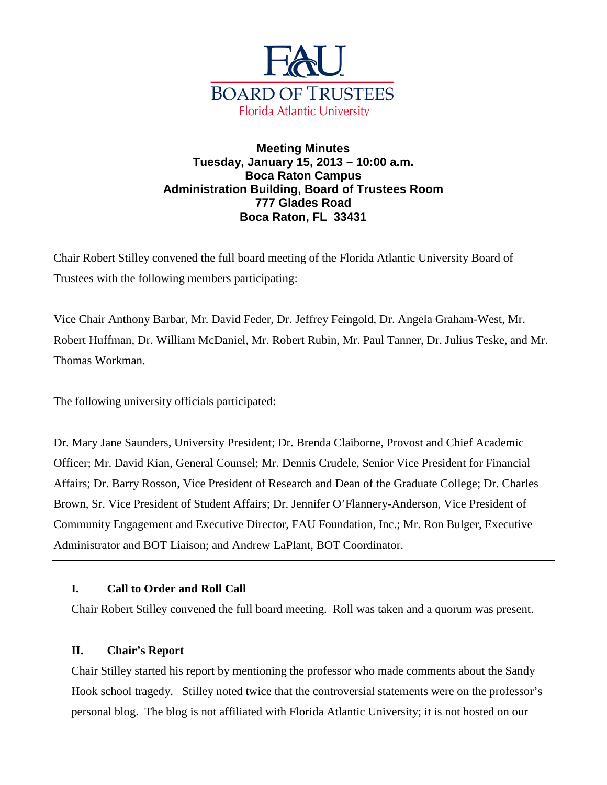

# **Meeting Minutes Tuesday, January 15, 2013 – 10:00 a.m. Boca Raton Campus Administration Building, Board of Trustees Room 777 Glades Road Boca Raton, FL 33431**

Chair Robert Stilley convened the full board meeting of the Florida Atlantic University Board of Trustees with the following members participating:

Vice Chair Anthony Barbar, Mr. David Feder, Dr. Jeffrey Feingold, Dr. Angela Graham-West, Mr. Robert Huffman, Dr. William McDaniel, Mr. Robert Rubin, Mr. Paul Tanner, Dr. Julius Teske, and Mr. Thomas Workman.

The following university officials participated:

Dr. Mary Jane Saunders, University President; Dr. Brenda Claiborne, Provost and Chief Academic Officer; Mr. David Kian, General Counsel; Mr. Dennis Crudele, Senior Vice President for Financial Affairs; Dr. Barry Rosson, Vice President of Research and Dean of the Graduate College; Dr. Charles Brown, Sr. Vice President of Student Affairs; Dr. Jennifer O'Flannery-Anderson, Vice President of Community Engagement and Executive Director, FAU Foundation, Inc.; Mr. Ron Bulger, Executive Administrator and BOT Liaison; and Andrew LaPlant, BOT Coordinator.

# **I. Call to Order and Roll Call**

Chair Robert Stilley convened the full board meeting. Roll was taken and a quorum was present.

# **II. Chair's Report**

Chair Stilley started his report by mentioning the professor who made comments about the Sandy Hook school tragedy. Stilley noted twice that the controversial statements were on the professor's personal blog. The blog is not affiliated with Florida Atlantic University; it is not hosted on our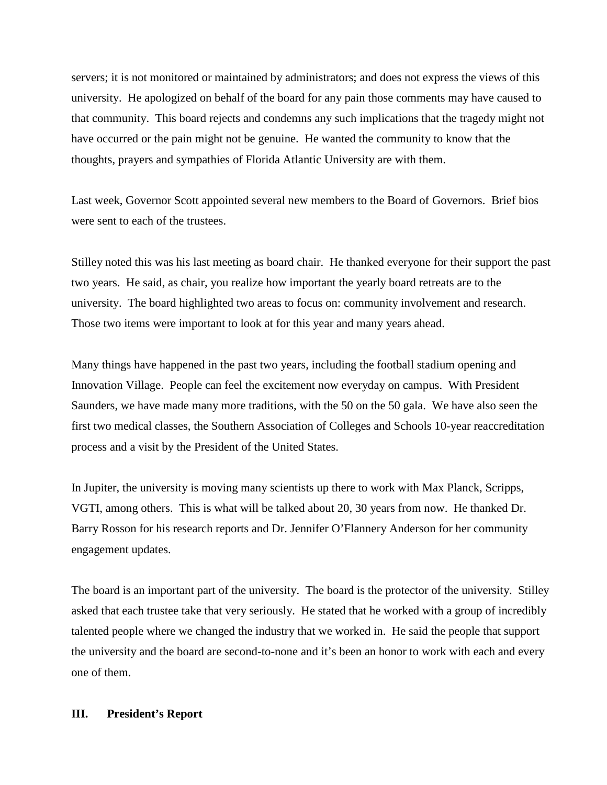servers; it is not monitored or maintained by administrators; and does not express the views of this university. He apologized on behalf of the board for any pain those comments may have caused to that community. This board rejects and condemns any such implications that the tragedy might not have occurred or the pain might not be genuine. He wanted the community to know that the thoughts, prayers and sympathies of Florida Atlantic University are with them.

Last week, Governor Scott appointed several new members to the Board of Governors. Brief bios were sent to each of the trustees.

Stilley noted this was his last meeting as board chair. He thanked everyone for their support the past two years. He said, as chair, you realize how important the yearly board retreats are to the university. The board highlighted two areas to focus on: community involvement and research. Those two items were important to look at for this year and many years ahead.

Many things have happened in the past two years, including the football stadium opening and Innovation Village. People can feel the excitement now everyday on campus. With President Saunders, we have made many more traditions, with the 50 on the 50 gala. We have also seen the first two medical classes, the Southern Association of Colleges and Schools 10-year reaccreditation process and a visit by the President of the United States.

In Jupiter, the university is moving many scientists up there to work with Max Planck, Scripps, VGTI, among others. This is what will be talked about 20, 30 years from now. He thanked Dr. Barry Rosson for his research reports and Dr. Jennifer O'Flannery Anderson for her community engagement updates.

The board is an important part of the university. The board is the protector of the university. Stilley asked that each trustee take that very seriously. He stated that he worked with a group of incredibly talented people where we changed the industry that we worked in. He said the people that support the university and the board are second-to-none and it's been an honor to work with each and every one of them.

### **III. President's Report**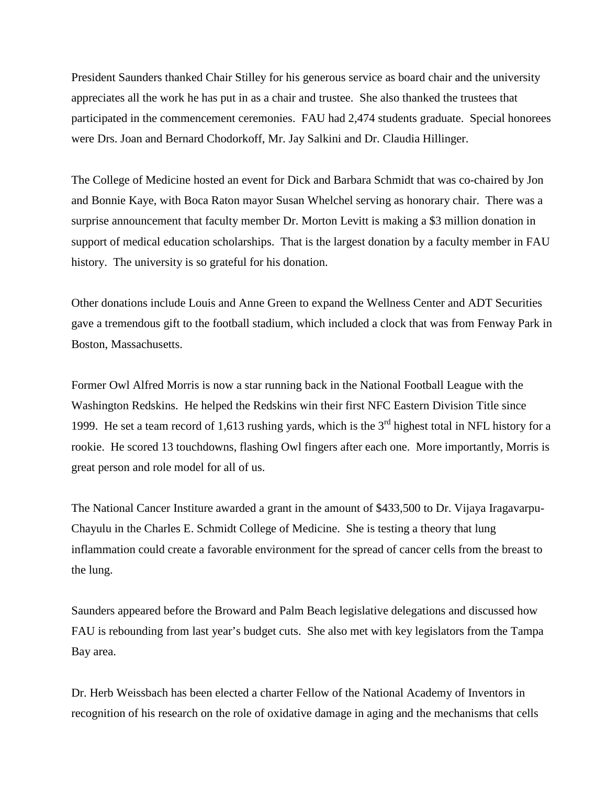President Saunders thanked Chair Stilley for his generous service as board chair and the university appreciates all the work he has put in as a chair and trustee. She also thanked the trustees that participated in the commencement ceremonies. FAU had 2,474 students graduate. Special honorees were Drs. Joan and Bernard Chodorkoff, Mr. Jay Salkini and Dr. Claudia Hillinger.

The College of Medicine hosted an event for Dick and Barbara Schmidt that was co-chaired by Jon and Bonnie Kaye, with Boca Raton mayor Susan Whelchel serving as honorary chair. There was a surprise announcement that faculty member Dr. Morton Levitt is making a \$3 million donation in support of medical education scholarships. That is the largest donation by a faculty member in FAU history. The university is so grateful for his donation.

Other donations include Louis and Anne Green to expand the Wellness Center and ADT Securities gave a tremendous gift to the football stadium, which included a clock that was from Fenway Park in Boston, Massachusetts.

Former Owl Alfred Morris is now a star running back in the National Football League with the Washington Redskins. He helped the Redskins win their first NFC Eastern Division Title since 1999. He set a team record of 1,613 rushing yards, which is the  $3<sup>rd</sup>$  highest total in NFL history for a rookie. He scored 13 touchdowns, flashing Owl fingers after each one. More importantly, Morris is great person and role model for all of us.

The National Cancer Institure awarded a grant in the amount of \$433,500 to Dr. Vijaya Iragavarpu-Chayulu in the Charles E. Schmidt College of Medicine. She is testing a theory that lung inflammation could create a favorable environment for the spread of cancer cells from the breast to the lung.

Saunders appeared before the Broward and Palm Beach legislative delegations and discussed how FAU is rebounding from last year's budget cuts. She also met with key legislators from the Tampa Bay area.

Dr. Herb Weissbach has been elected a charter Fellow of the National Academy of Inventors in recognition of his research on the role of oxidative damage in aging and the mechanisms that cells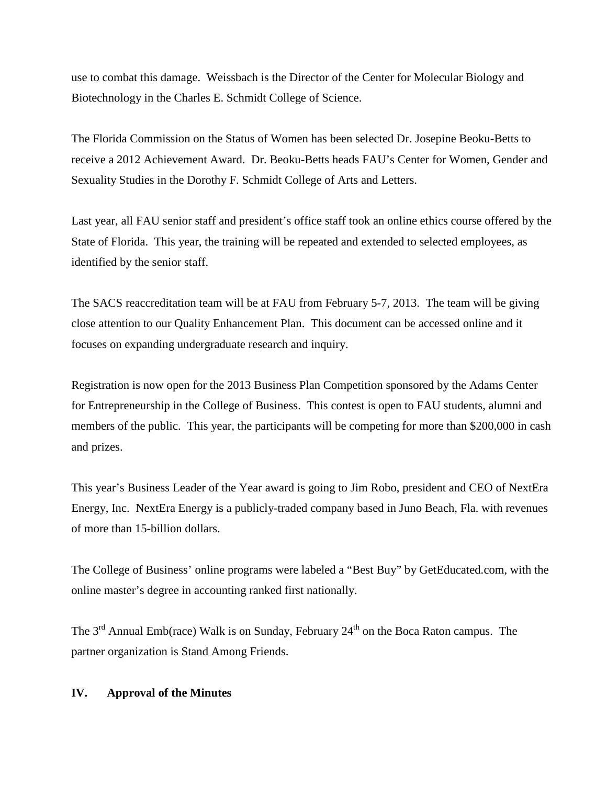use to combat this damage. Weissbach is the Director of the Center for Molecular Biology and Biotechnology in the Charles E. Schmidt College of Science.

The Florida Commission on the Status of Women has been selected Dr. Josepine Beoku-Betts to receive a 2012 Achievement Award. Dr. Beoku-Betts heads FAU's Center for Women, Gender and Sexuality Studies in the Dorothy F. Schmidt College of Arts and Letters.

Last year, all FAU senior staff and president's office staff took an online ethics course offered by the State of Florida. This year, the training will be repeated and extended to selected employees, as identified by the senior staff.

The SACS reaccreditation team will be at FAU from February 5-7, 2013. The team will be giving close attention to our Quality Enhancement Plan. This document can be accessed online and it focuses on expanding undergraduate research and inquiry.

Registration is now open for the 2013 Business Plan Competition sponsored by the Adams Center for Entrepreneurship in the College of Business. This contest is open to FAU students, alumni and members of the public. This year, the participants will be competing for more than \$200,000 in cash and prizes.

This year's Business Leader of the Year award is going to Jim Robo, president and CEO of NextEra Energy, Inc. NextEra Energy is a publicly-traded company based in Juno Beach, Fla. with revenues of more than 15-billion dollars.

The College of Business' online programs were labeled a "Best Buy" by GetEducated.com, with the online master's degree in accounting ranked first nationally.

The  $3<sup>rd</sup>$  Annual Emb(race) Walk is on Sunday, February  $24<sup>th</sup>$  on the Boca Raton campus. The partner organization is Stand Among Friends.

### **IV. Approval of the Minutes**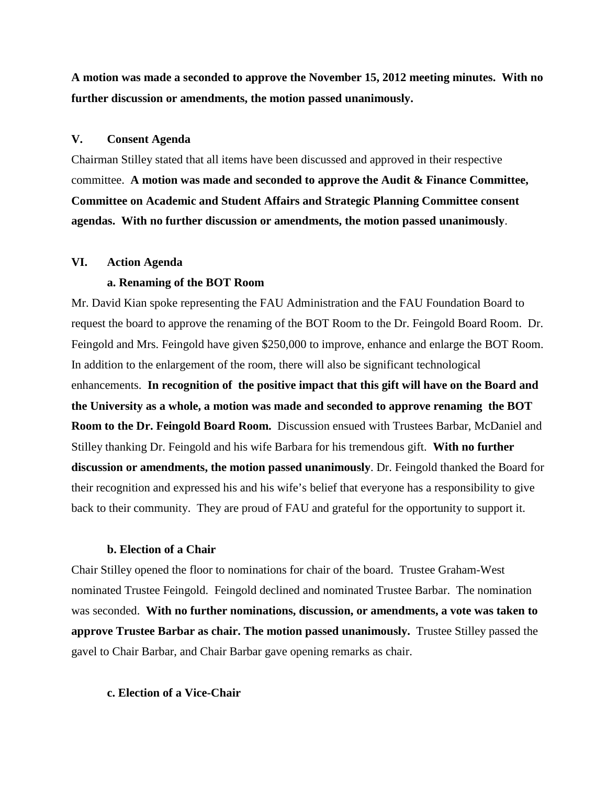**A motion was made a seconded to approve the November 15, 2012 meeting minutes. With no further discussion or amendments, the motion passed unanimously.**

#### **V. Consent Agenda**

Chairman Stilley stated that all items have been discussed and approved in their respective committee. **A motion was made and seconded to approve the Audit & Finance Committee, Committee on Academic and Student Affairs and Strategic Planning Committee consent agendas. With no further discussion or amendments, the motion passed unanimously**.

#### **VI. Action Agenda**

### **a. Renaming of the BOT Room**

Mr. David Kian spoke representing the FAU Administration and the FAU Foundation Board to request the board to approve the renaming of the BOT Room to the Dr. Feingold Board Room. Dr. Feingold and Mrs. Feingold have given \$250,000 to improve, enhance and enlarge the BOT Room. In addition to the enlargement of the room, there will also be significant technological enhancements. **In recognition of the positive impact that this gift will have on the Board and the University as a whole, a motion was made and seconded to approve renaming the BOT Room to the Dr. Feingold Board Room.** Discussion ensued with Trustees Barbar, McDaniel and Stilley thanking Dr. Feingold and his wife Barbara for his tremendous gift. **With no further discussion or amendments, the motion passed unanimously**. Dr. Feingold thanked the Board for their recognition and expressed his and his wife's belief that everyone has a responsibility to give back to their community. They are proud of FAU and grateful for the opportunity to support it.

#### **b. Election of a Chair**

Chair Stilley opened the floor to nominations for chair of the board. Trustee Graham-West nominated Trustee Feingold. Feingold declined and nominated Trustee Barbar. The nomination was seconded. **With no further nominations, discussion, or amendments, a vote was taken to approve Trustee Barbar as chair. The motion passed unanimously.** Trustee Stilley passed the gavel to Chair Barbar, and Chair Barbar gave opening remarks as chair.

### **c. Election of a Vice-Chair**